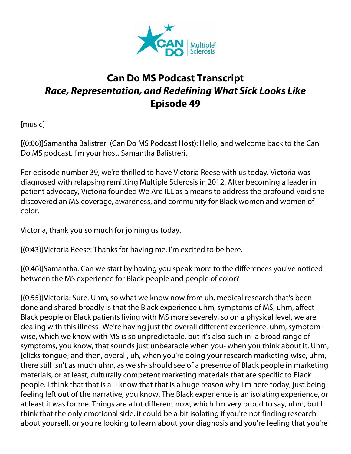

## **Can Do MS Podcast Transcript** *Race, Representation, and Redefining What Sick Looks Like* **Episode 49**

[music]

[(0:06)]Samantha Balistreri (Can Do MS Podcast Host): Hello, and welcome back to the Can Do MS podcast. I'm your host, Samantha Balistreri.

For episode number 39, we're thrilled to have Victoria Reese with us today. Victoria was diagnosed with relapsing remitting Multiple Sclerosis in 2012. After becoming a leader in patient advocacy, Victoria founded We Are ILL as a means to address the profound void she discovered an MS coverage, awareness, and community for Black women and women of color.

Victoria, thank you so much for joining us today.

[(0:43)]Victoria Reese: Thanks for having me. I'm excited to be here.

[(0:46)]Samantha: Can we start by having you speak more to the differences you've noticed between the MS experience for Black people and people of color?

[(0:55)]Victoria: Sure. Uhm, so what we know now from uh, medical research that's been done and shared broadly is that the Black experience uhm, symptoms of MS, uhm, affect Black people or Black patients living with MS more severely, so on a physical level, we are dealing with this illness- We're having just the overall different experience, uhm, symptomwise, which we know with MS is so unpredictable, but it's also such in- a broad range of symptoms, you know, that sounds just unbearable when you- when you think about it. Uhm, [clicks tongue] and then, overall, uh, when you're doing your research marketing-wise, uhm, there still isn't as much uhm, as we sh- should see of a presence of Black people in marketing materials, or at least, culturally competent marketing materials that are specific to Black people. I think that that is a- I know that that is a huge reason why I'm here today, just beingfeeling left out of the narrative, you know. The Black experience is an isolating experience, or at least it was for me. Things are a lot different now, which I'm very proud to say, uhm, but I think that the only emotional side, it could be a bit isolating if you're not finding research about yourself, or you're looking to learn about your diagnosis and you're feeling that you're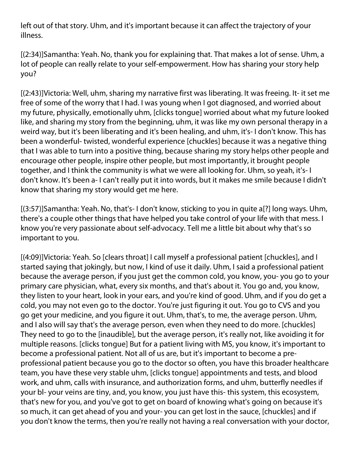left out of that story. Uhm, and it's important because it can affect the trajectory of your illness.

[(2:34)]Samantha: Yeah. No, thank you for explaining that. That makes a lot of sense. Uhm, a lot of people can really relate to your self-empowerment. How has sharing your story help you?

[(2:43)]Victoria: Well, uhm, sharing my narrative first was liberating. It was freeing. It- it set me free of some of the worry that I had. I was young when I got diagnosed, and worried about my future, physically, emotionally uhm, [clicks tongue] worried about what my future looked like, and sharing my story from the beginning, uhm, it was like my own personal therapy in a weird way, but it's been liberating and it's been healing, and uhm, it's- I don't know. This has been a wonderful- twisted, wonderful experience [chuckles] because it was a negative thing that I was able to turn into a positive thing, because sharing my story helps other people and encourage other people, inspire other people, but most importantly, it brought people together, and I think the community is what we were all looking for. Uhm, so yeah, it's- I don't know. It's been a- I can't really put it into words, but it makes me smile because I didn't know that sharing my story would get me here.

[(3:57)]Samantha: Yeah. No, that's- I don't know, sticking to you in quite a[?] long ways. Uhm, there's a couple other things that have helped you take control of your life with that mess. I know you're very passionate about self-advocacy. Tell me a little bit about why that's so important to you.

[(4:09)]Victoria: Yeah. So [clears throat] I call myself a professional patient [chuckles], and I started saying that jokingly, but now, I kind of use it daily. Uhm, I said a professional patient because the average person, if you just get the common cold, you know, you- you go to your primary care physician, what, every six months, and that's about it. You go and, you know, they listen to your heart, look in your ears, and you're kind of good. Uhm, and if you do get a cold, you may not even go to the doctor. You're just figuring it out. You go to CVS and you go get your medicine, and you figure it out. Uhm, that's, to me, the average person. Uhm, and I also will say that's the average person, even when they need to do more. [chuckles] They need to go to the [inaudible], but the average person, it's really not, like avoiding it for multiple reasons. [clicks tongue] But for a patient living with MS, you know, it's important to become a professional patient. Not all of us are, but it's important to become a preprofessional patient because you go to the doctor so often, you have this broader healthcare team, you have these very stable uhm, [clicks tongue] appointments and tests, and blood work, and uhm, calls with insurance, and authorization forms, and uhm, butterfly needles if your bl- your veins are tiny, and, you know, you just have this- this system, this ecosystem, that's new for you, and you've got to get on board of knowing what's going on because it's so much, it can get ahead of you and your- you can get lost in the sauce, [chuckles] and if you don't know the terms, then you're really not having a real conversation with your doctor,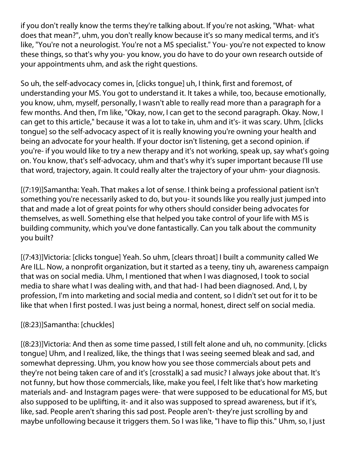if you don't really know the terms they're talking about. If you're not asking, "What- what does that mean?", uhm, you don't really know because it's so many medical terms, and it's like, "You're not a neurologist. You're not a MS specialist." You- you're not expected to know these things, so that's why you- you know, you do have to do your own research outside of your appointments uhm, and ask the right questions.

So uh, the self-advocacy comes in, [clicks tongue] uh, I think, first and foremost, of understanding your MS. You got to understand it. It takes a while, too, because emotionally, you know, uhm, myself, personally, I wasn't able to really read more than a paragraph for a few months. And then, I'm like, "Okay, now, I can get to the second paragraph. Okay. Now, I can get to this article," because it was a lot to take in, uhm and it's- it was scary. Uhm, [clicks tongue] so the self-advocacy aspect of it is really knowing you're owning your health and being an advocate for your health. If your doctor isn't listening, get a second opinion. if you're- if you would like to try a new therapy and it's not working, speak up, say what's going on. You know, that's self-advocacy, uhm and that's why it's super important because I'll use that word, trajectory, again. It could really alter the trajectory of your uhm- your diagnosis.

[(7:19)]Samantha: Yeah. That makes a lot of sense. I think being a professional patient isn't something you're necessarily asked to do, but you- it sounds like you really just jumped into that and made a lot of great points for why others should consider being advocates for themselves, as well. Something else that helped you take control of your life with MS is building community, which you've done fantastically. Can you talk about the community you built?

[(7:43)]Victoria: [clicks tongue] Yeah. So uhm, [clears throat] I built a community called We Are ILL. Now, a nonprofit organization, but it started as a teeny, tiny uh, awareness campaign that was on social media. Uhm, I mentioned that when I was diagnosed, I took to social media to share what I was dealing with, and that had- I had been diagnosed. And, I, by profession, I'm into marketing and social media and content, so I didn't set out for it to be like that when I first posted. I was just being a normal, honest, direct self on social media.

## [(8:23)]Samantha: [chuckles]

[(8:23)]Victoria: And then as some time passed, I still felt alone and uh, no community. [clicks tongue] Uhm, and I realized, like, the things that I was seeing seemed bleak and sad, and somewhat depressing. Uhm, you know how you see those commercials about pets and they're not being taken care of and it's [crosstalk] a sad music? I always joke about that. It's not funny, but how those commercials, like, make you feel, I felt like that's how marketing materials and- and Instagram pages were- that were supposed to be educational for MS, but also supposed to be uplifting, it- and it also was supposed to spread awareness, but if it's, like, sad. People aren't sharing this sad post. People aren't- they're just scrolling by and maybe unfollowing because it triggers them. So I was like, "I have to flip this." Uhm, so, I just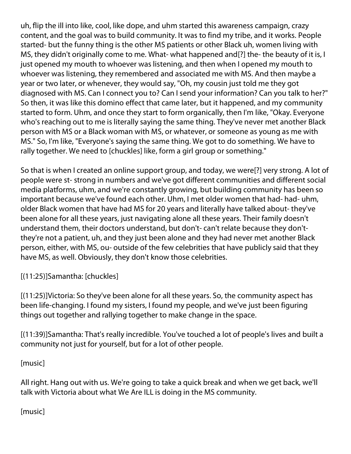uh, flip the ill into like, cool, like dope, and uhm started this awareness campaign, crazy content, and the goal was to build community. It was to find my tribe, and it works. People started- but the funny thing is the other MS patients or other Black uh, women living with MS, they didn't originally come to me. What- what happened and[?] the- the beauty of it is, I just opened my mouth to whoever was listening, and then when I opened my mouth to whoever was listening, they remembered and associated me with MS. And then maybe a year or two later, or whenever, they would say, "Oh, my cousin just told me they got diagnosed with MS. Can I connect you to? Can I send your information? Can you talk to her?" So then, it was like this domino effect that came later, but it happened, and my community started to form. Uhm, and once they start to form organically, then I'm like, "Okay. Everyone who's reaching out to me is literally saying the same thing. They've never met another Black person with MS or a Black woman with MS, or whatever, or someone as young as me with MS." So, I'm like, "Everyone's saying the same thing. We got to do something. We have to rally together. We need to [chuckles] like, form a girl group or something."

So that is when I created an online support group, and today, we were[?] very strong. A lot of people were st- strong in numbers and we've got different communities and different social media platforms, uhm, and we're constantly growing, but building community has been so important because we've found each other. Uhm, I met older women that had- had- uhm, older Black women that have had MS for 20 years and literally have talked about- they've been alone for all these years, just navigating alone all these years. Their family doesn't understand them, their doctors understand, but don't- can't relate because they don'tthey're not a patient, uh, and they just been alone and they had never met another Black person, either, with MS, ou- outside of the few celebrities that have publicly said that they have MS, as well. Obviously, they don't know those celebrities.

[(11:25)]Samantha: [chuckles]

[(11:25)]Victoria: So they've been alone for all these years. So, the community aspect has been life-changing. I found my sisters, I found my people, and we've just been figuring things out together and rallying together to make change in the space.

[(11:39)]Samantha: That's really incredible. You've touched a lot of people's lives and built a community not just for yourself, but for a lot of other people.

[music]

All right. Hang out with us. We're going to take a quick break and when we get back, we'll talk with Victoria about what We Are ILL is doing in the MS community.

[music]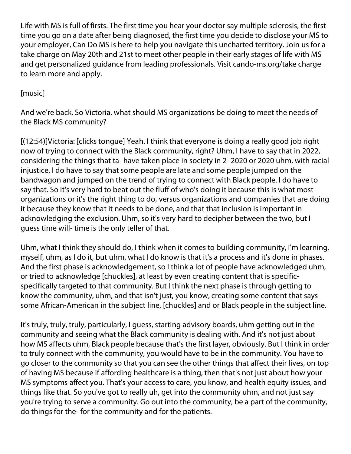Life with MS is full of firsts. The first time you hear your doctor say multiple sclerosis, the first time you go on a date after being diagnosed, the first time you decide to disclose your MS to your employer, Can Do MS is here to help you navigate this uncharted territory. Join us for a take charge on May 20th and 21st to meet other people in their early stages of life with MS and get personalized guidance from leading professionals. Visit cando-ms.org/take charge to learn more and apply.

## [music]

And we're back. So Victoria, what should MS organizations be doing to meet the needs of the Black MS community?

[(12:54)]Victoria: [clicks tongue] Yeah. I think that everyone is doing a really good job right now of trying to connect with the Black community, right? Uhm, I have to say that in 2022, considering the things that ta- have taken place in society in 2- 2020 or 2020 uhm, with racial injustice, I do have to say that some people are late and some people jumped on the bandwagon and jumped on the trend of trying to connect with Black people. I do have to say that. So it's very hard to beat out the fluff of who's doing it because this is what most organizations or it's the right thing to do, versus organizations and companies that are doing it because they know that it needs to be done, and that that inclusion is important in acknowledging the exclusion. Uhm, so it's very hard to decipher between the two, but I guess time will- time is the only teller of that.

Uhm, what I think they should do, I think when it comes to building community, I'm learning, myself, uhm, as I do it, but uhm, what I do know is that it's a process and it's done in phases. And the first phase is acknowledgement, so I think a lot of people have acknowledged uhm, or tried to acknowledge [chuckles], at least by even creating content that is specificspecifically targeted to that community. But I think the next phase is through getting to know the community, uhm, and that isn't just, you know, creating some content that says some African-American in the subject line, [chuckles] and or Black people in the subject line.

It's truly, truly, truly, particularly, I guess, starting advisory boards, uhm getting out in the community and seeing what the Black community is dealing with. And it's not just about how MS affects uhm, Black people because that's the first layer, obviously. But I think in order to truly connect with the community, you would have to be in the community. You have to go closer to the community so that you can see the other things that affect their lives, on top of having MS because if affording healthcare is a thing, then that's not just about how your MS symptoms affect you. That's your access to care, you know, and health equity issues, and things like that. So you've got to really uh, get into the community uhm, and not just say you're trying to serve a community. Go out into the community, be a part of the community, do things for the- for the community and for the patients.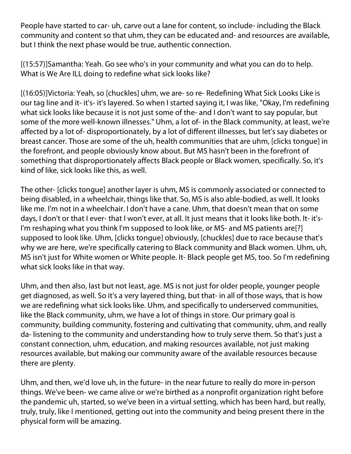People have started to car- uh, carve out a lane for content, so include- including the Black community and content so that uhm, they can be educated and- and resources are available, but I think the next phase would be true, authentic connection.

[(15:57)]Samantha: Yeah. Go see who's in your community and what you can do to help. What is We Are ILL doing to redefine what sick looks like?

[(16:05)]Victoria: Yeah, so [chuckles] uhm, we are- so re- Redefining What Sick Looks Like is our tag line and it- it's- it's layered. So when I started saying it, I was like, "Okay, I'm redefining what sick looks like because it is not just some of the- and I don't want to say popular, but some of the more well-known illnesses." Uhm, a lot of- in the Black community, at least, we're affected by a lot of- disproportionately, by a lot of different illnesses, but let's say diabetes or breast cancer. Those are some of the uh, health communities that are uhm, [clicks tongue] in the forefront, and people obviously know about. But MS hasn't been in the forefront of something that disproportionately affects Black people or Black women, specifically. So, it's kind of like, sick looks like this, as well.

The other- [clicks tongue] another layer is uhm, MS is commonly associated or connected to being disabled, in a wheelchair, things like that. So, MS is also able-bodied, as well. It looks like me. I'm not in a wheelchair. I don't have a cane. Uhm, that doesn't mean that on some days, I don't or that I ever- that I won't ever, at all. It just means that it looks like both. It- it's-I'm reshaping what you think I'm supposed to look like, or MS- and MS patients are[?] supposed to look like. Uhm, [clicks tongue] obviously, [chuckles] due to race because that's why we are here, we're specifically catering to Black community and Black women. Uhm, uh, MS isn't just for White women or White people. It- Black people get MS, too. So I'm redefining what sick looks like in that way.

Uhm, and then also, last but not least, age. MS is not just for older people, younger people get diagnosed, as well. So it's a very layered thing, but that- in all of those ways, that is how we are redefining what sick looks like. Uhm, and specifically to underserved communities, like the Black community, uhm, we have a lot of things in store. Our primary goal is community, building community, fostering and cultivating that community, uhm, and really da- listening to the community and understanding how to truly serve them. So that's just a constant connection, uhm, education, and making resources available, not just making resources available, but making our community aware of the available resources because there are plenty.

Uhm, and then, we'd love uh, in the future- in the near future to really do more in-person things. We've been- we came alive or we're birthed as a nonprofit organization right before the pandemic uh, started, so we've been in a virtual setting, which has been hard, but really, truly, truly, like I mentioned, getting out into the community and being present there in the physical form will be amazing.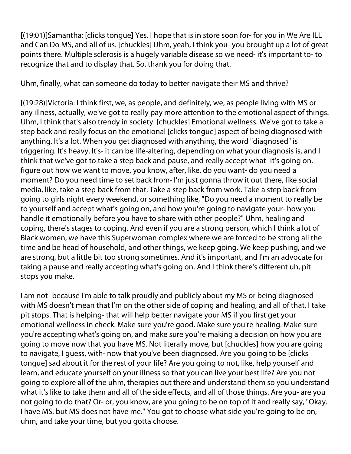[(19:01)]Samantha: [clicks tongue] Yes. I hope that is in store soon for- for you in We Are ILL and Can Do MS, and all of us. [chuckles] Uhm, yeah, I think you- you brought up a lot of great points there. Multiple sclerosis is a hugely variable disease so we need- it's important to- to recognize that and to display that. So, thank you for doing that.

Uhm, finally, what can someone do today to better navigate their MS and thrive?

[(19:28)]Victoria: I think first, we, as people, and definitely, we, as people living with MS or any illness, actually, we've got to really pay more attention to the emotional aspect of things. Uhm, I think that's also trendy in society. [chuckles] Emotional wellness. We've got to take a step back and really focus on the emotional [clicks tongue] aspect of being diagnosed with anything. It's a lot. When you get diagnosed with anything, the word "diagnosed" is triggering. It's heavy. It's- it can be life-altering, depending on what your diagnosis is, and I think that we've got to take a step back and pause, and really accept what- it's going on, figure out how we want to move, you know, after, like, do you want- do you need a moment? Do you need time to set back from- I'm just gonna throw it out there, like social media, like, take a step back from that. Take a step back from work. Take a step back from going to girls night every weekend, or something like, "Do you need a moment to really be to yourself and accept what's going on, and how you're going to navigate your- how you handle it emotionally before you have to share with other people?" Uhm, healing and coping, there's stages to coping. And even if you are a strong person, which I think a lot of Black women, we have this Superwoman complex where we are forced to be strong all the time and be head of household, and other things, we keep going. We keep pushing, and we are strong, but a little bit too strong sometimes. And it's important, and I'm an advocate for taking a pause and really accepting what's going on. And I think there's different uh, pit stops you make.

I am not- because I'm able to talk proudly and publicly about my MS or being diagnosed with MS doesn't mean that I'm on the other side of coping and healing, and all of that. I take pit stops. That is helping- that will help better navigate your MS if you first get your emotional wellness in check. Make sure you're good. Make sure you're healing. Make sure you're accepting what's going on, and make sure you're making a decision on how you are going to move now that you have MS. Not literally move, but [chuckles] how you are going to navigate, I guess, with- now that you've been diagnosed. Are you going to be [clicks tongue] sad about it for the rest of your life? Are you going to not, like, help yourself and learn, and educate yourself on your illness so that you can live your best life? Are you not going to explore all of the uhm, therapies out there and understand them so you understand what it's like to take them and all of the side effects, and all of those things. Are you- are you not going to do that? Or- or, you know, are you going to be on top of it and really say, "Okay. I have MS, but MS does not have me." You got to choose what side you're going to be on, uhm, and take your time, but you gotta choose.